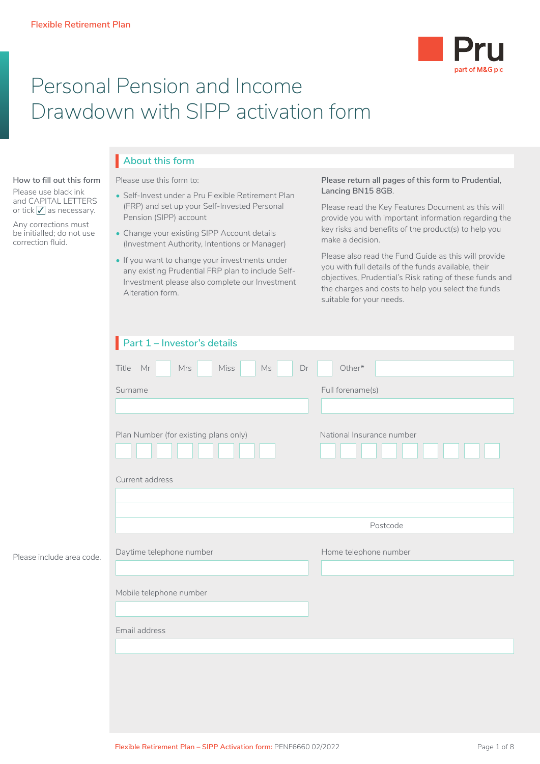

# Personal Pension and Income Drawdown with SIPP activation form

# **About this form** I

**How to fill out this form**

Please use black ink and CAPITAL LETTERS or tick  $\sqrt{\ }$  as necessary.

Any corrections must be initialled; do not use correction fluid.

Please include area code.

#### Please use this form to:

- Self-Invest under a Pru Flexible Retirement Plan (FRP) and set up your Self-Invested Personal Pension (SIPP) account
- Change your existing SIPP Account details (Investment Authority, Intentions or Manager)
- If you want to change your investments under any existing Prudential FRP plan to include Self-Investment please also complete our Investment Alteration form.

### **Please return all pages of this form to Prudential, Lancing BN15 8GB**.

Please read the Key Features Document as this will provide you with important information regarding the key risks and benefits of the product(s) to help you make a decision.

Please also read the Fund Guide as this will provide you with full details of the funds available, their objectives, Prudential's Risk rating of these funds and the charges and costs to help you select the funds suitable for your needs.

| Part 1 - Investor's details                    |                           |
|------------------------------------------------|---------------------------|
| Miss<br>Title Mr<br>$\mathsf{Ms}$<br>Mrs<br>Dr | $Other*$                  |
| Surname                                        | Full forename(s)          |
|                                                |                           |
| Plan Number (for existing plans only)          | National Insurance number |
| Current address                                |                           |
|                                                |                           |
|                                                | Postcode                  |
| Daytime telephone number                       | Home telephone number     |
|                                                |                           |
| Mobile telephone number                        |                           |
|                                                |                           |
| Email address                                  |                           |
|                                                |                           |
|                                                |                           |
|                                                |                           |
|                                                |                           |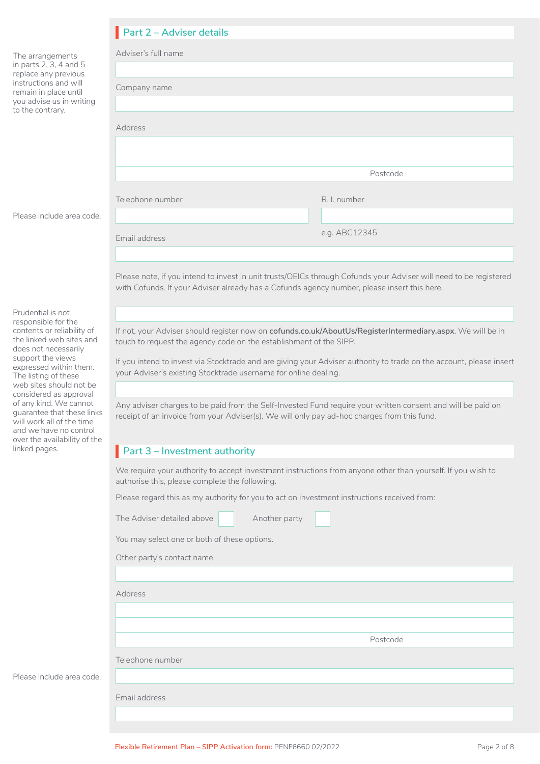|                                                                                                                                             | Part 2 - Adviser details                                                                                                                                                                                         |               |  |  |  |  |
|---------------------------------------------------------------------------------------------------------------------------------------------|------------------------------------------------------------------------------------------------------------------------------------------------------------------------------------------------------------------|---------------|--|--|--|--|
| The arrangements                                                                                                                            | Adviser's full name                                                                                                                                                                                              |               |  |  |  |  |
| in parts 2, 3, 4 and 5<br>replace any previous<br>instructions and will<br>remain in place until<br>you advise us in writing                | Company name                                                                                                                                                                                                     |               |  |  |  |  |
| to the contrary.                                                                                                                            | Address                                                                                                                                                                                                          |               |  |  |  |  |
|                                                                                                                                             |                                                                                                                                                                                                                  |               |  |  |  |  |
|                                                                                                                                             |                                                                                                                                                                                                                  | Postcode      |  |  |  |  |
|                                                                                                                                             | Telephone number                                                                                                                                                                                                 | R. I. number  |  |  |  |  |
| Please include area code.                                                                                                                   |                                                                                                                                                                                                                  |               |  |  |  |  |
|                                                                                                                                             | Email address                                                                                                                                                                                                    | e.g. ABC12345 |  |  |  |  |
|                                                                                                                                             |                                                                                                                                                                                                                  |               |  |  |  |  |
|                                                                                                                                             | Please note, if you intend to invest in unit trusts/OEICs through Cofunds your Adviser will need to be registered<br>with Cofunds. If your Adviser already has a Cofunds agency number, please insert this here. |               |  |  |  |  |
| Prudential is not                                                                                                                           |                                                                                                                                                                                                                  |               |  |  |  |  |
| responsible for the<br>contents or reliability of<br>the linked web sites and<br>does not necessarily                                       | If not, your Adviser should register now on cofunds.co.uk/AboutUs/RegisterIntermediary.aspx. We will be in<br>touch to request the agency code on the establishment of the SIPP.                                 |               |  |  |  |  |
| support the views<br>expressed within them.<br>The listing of these                                                                         | If you intend to invest via Stocktrade and are giving your Adviser authority to trade on the account, please insert<br>your Adviser's existing Stocktrade username for online dealing.                           |               |  |  |  |  |
| web sites should not be<br>considered as approval                                                                                           |                                                                                                                                                                                                                  |               |  |  |  |  |
| of any kind. We cannot<br>quarantee that these links<br>will work all of the time<br>and we have no control<br>over the availability of the | Any adviser charges to be paid from the Self-Invested Fund require your written consent and will be paid on<br>receipt of an invoice from your Adviser(s). We will only pay ad-hoc charges from this fund.       |               |  |  |  |  |
| linked pages.<br>Part 3 - Investment authority                                                                                              |                                                                                                                                                                                                                  |               |  |  |  |  |

We require your authority to accept investment instructions from anyone other than yourself. If you wish to authorise this, please complete the following.

Postcode

Please regard this as my authority for you to act on investment instructions received from:

| The Adviser detailed above | Another party |
|----------------------------|---------------|
|----------------------------|---------------|

You may select one or both of these options.

Address

Telephone number

Email address

Please include area code.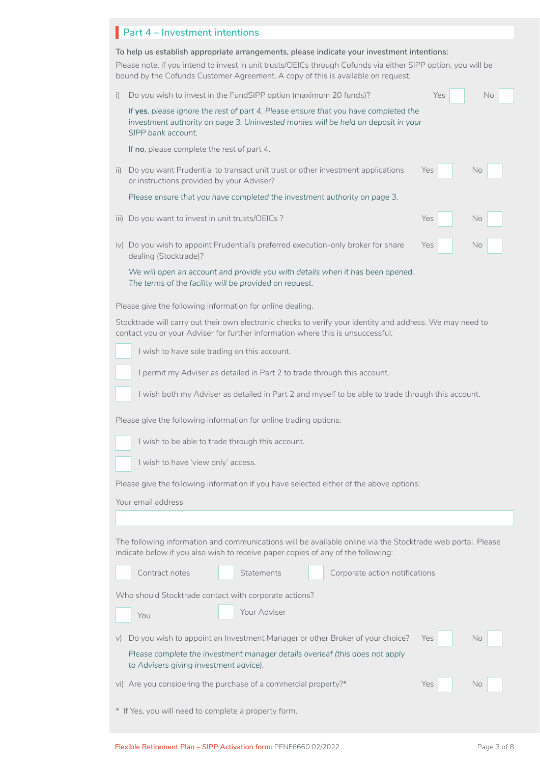| Part 4 - Investment intentions |
|--------------------------------|
|                                |

|                  | To help us establish appropriate arrangements, please indicate your investment intentions:<br>Please note, if you intend to invest in unit trusts/OEICs through Cofunds via either SIPP option, you will be<br>bound by the Cofunds Customer Agreement. A copy of this is available on request. |
|------------------|-------------------------------------------------------------------------------------------------------------------------------------------------------------------------------------------------------------------------------------------------------------------------------------------------|
| i)               | Do you wish to invest in the FundSIPP option (maximum 20 funds)?<br>Yes<br>No                                                                                                                                                                                                                   |
|                  | If yes, please ignore the rest of part 4. Please ensure that you have completed the<br>investment authority on page 3. Uninvested monies will be held on deposit in your<br>SIPP bank account.                                                                                                  |
|                  | If no, please complete the rest of part 4.                                                                                                                                                                                                                                                      |
| $\overline{ii}$  | Do you want Prudential to transact unit trust or other investment applications<br>No<br>Yes<br>or instructions provided by your Adviser?                                                                                                                                                        |
|                  | Please ensure that you have completed the investment authority on page 3.                                                                                                                                                                                                                       |
| $\overline{111}$ | Do you want to invest in unit trusts/OEICs?<br>Yes<br>No                                                                                                                                                                                                                                        |
|                  | iv) Do you wish to appoint Prudential's preferred execution-only broker for share<br>No<br>Yes<br>dealing (Stocktrade)?                                                                                                                                                                         |
|                  | We will open an account and provide you with details when it has been opened.<br>The terms of the facility will be provided on request.                                                                                                                                                         |
|                  | Please give the following information for online dealing.                                                                                                                                                                                                                                       |
|                  | Stocktrade will carry out their own electronic checks to verify your identity and address. We may need to<br>contact you or your Adviser for further information where this is unsuccessful.                                                                                                    |
|                  | I wish to have sole trading on this account.                                                                                                                                                                                                                                                    |
|                  | I permit my Adviser as detailed in Part 2 to trade through this account.                                                                                                                                                                                                                        |
|                  | I wish both my Adviser as detailed in Part 2 and myself to be able to trade through this account.                                                                                                                                                                                               |
|                  | Please give the following information for online trading options:                                                                                                                                                                                                                               |
|                  | I wish to be able to trade through this account.                                                                                                                                                                                                                                                |
|                  | I wish to have 'view only' access.                                                                                                                                                                                                                                                              |
|                  |                                                                                                                                                                                                                                                                                                 |
|                  | Please give the following information if you have selected either of the above options:                                                                                                                                                                                                         |
|                  | Your email address                                                                                                                                                                                                                                                                              |
|                  |                                                                                                                                                                                                                                                                                                 |
|                  | The following information and communications will be available online via the Stocktrade web portal. Please<br>indicate below if you also wish to receive paper copies of any of the following:                                                                                                 |
|                  | Contract notes<br><b>Statements</b><br>Corporate action notifications                                                                                                                                                                                                                           |
|                  | Who should Stocktrade contact with corporate actions?                                                                                                                                                                                                                                           |
|                  | Your Adviser                                                                                                                                                                                                                                                                                    |
|                  | You                                                                                                                                                                                                                                                                                             |
|                  | Do you wish to appoint an Investment Manager or other Broker of your choice?<br>No<br>Yes                                                                                                                                                                                                       |
|                  | Please complete the investment manager details overleaf (this does not apply<br>to Advisers giving investment advice).                                                                                                                                                                          |
|                  | vi) Are you considering the purchase of a commercial property?*<br>No<br>Yes                                                                                                                                                                                                                    |
|                  |                                                                                                                                                                                                                                                                                                 |

\* If Yes, you will need to complete a property form.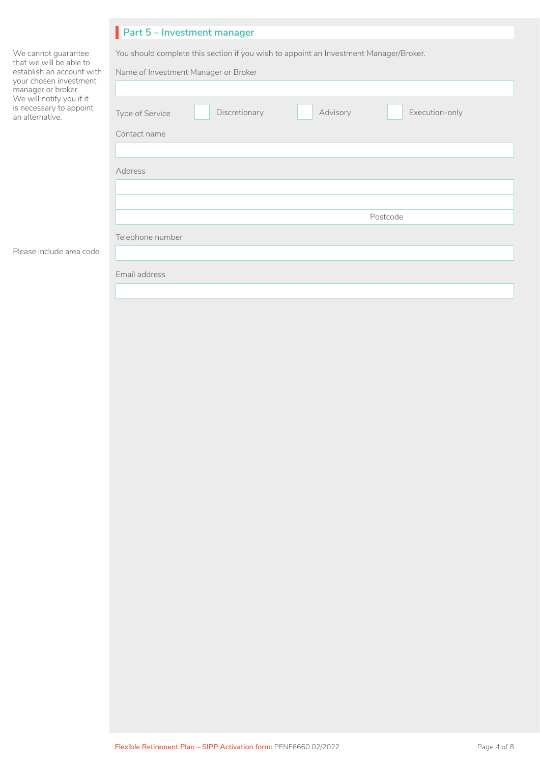| Part 5 - Investment manager                                                                                                   |  |  |  |  |
|-------------------------------------------------------------------------------------------------------------------------------|--|--|--|--|
| You should complete this section if you wish to appoint an Investment Manager/Broker.<br>Name of Investment Manager or Broker |  |  |  |  |
| Discretionary<br>Advisory<br>Execution-only<br>Type of Service                                                                |  |  |  |  |
| Contact name                                                                                                                  |  |  |  |  |
|                                                                                                                               |  |  |  |  |
| Address                                                                                                                       |  |  |  |  |
|                                                                                                                               |  |  |  |  |
|                                                                                                                               |  |  |  |  |
| Postcode                                                                                                                      |  |  |  |  |
| Telephone number                                                                                                              |  |  |  |  |
|                                                                                                                               |  |  |  |  |
| Email address                                                                                                                 |  |  |  |  |
|                                                                                                                               |  |  |  |  |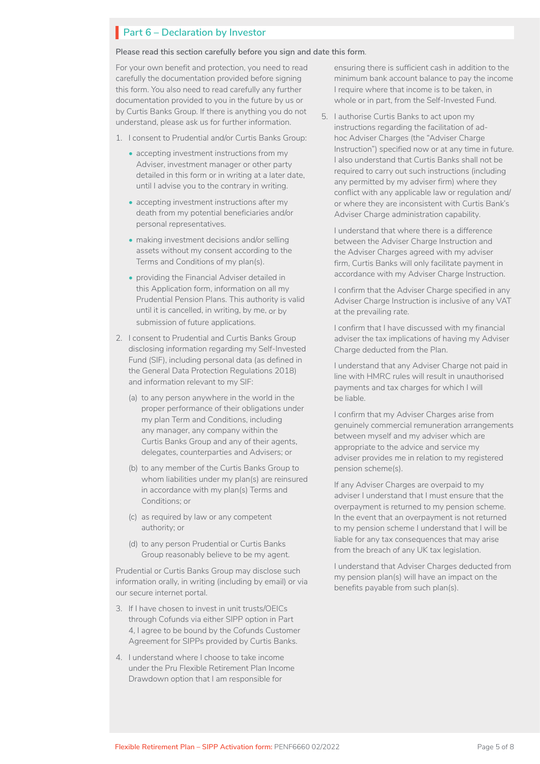### **Part 6 – Declaration by Investor**

**Please read this section carefully before you sign and date this form**.

For your own benefit and protection, you need to read carefully the documentation provided before signing this form. You also need to read carefully any further documentation provided to you in the future by us or by Curtis Banks Group. If there is anything you do not understand, please ask us for further information.

- 1. I consent to Prudential and/or Curtis Banks Group:
	- accepting investment instructions from my Adviser, investment manager or other party detailed in this form or in writing at a later date, until I advise you to the contrary in writing.
	- accepting investment instructions after my death from my potential beneficiaries and/or personal representatives.
	- making investment decisions and/or selling assets without my consent according to the Terms and Conditions of my plan(s).
	- providing the Financial Adviser detailed in this Application form, information on all my Prudential Pension Plans. This authority is valid until it is cancelled, in writing, by me, or by submission of future applications.
- 2. I consent to Prudential and Curtis Banks Group disclosing information regarding my Self-Invested Fund (SIF), including personal data (as defined in the General Data Protection Regulations 2018) and information relevant to my SIF:
	- (a) to any person anywhere in the world in the proper performance of their obligations under my plan Term and Conditions, including any manager, any company within the Curtis Banks Group and any of their agents, delegates, counterparties and Advisers; or
	- (b) to any member of the Curtis Banks Group to whom liabilities under my plan(s) are reinsured in accordance with my plan(s) Terms and Conditions; or
	- (c) as required by law or any competent authority; or
	- (d) to any person Prudential or Curtis Banks Group reasonably believe to be my agent.

Prudential or Curtis Banks Group may disclose such information orally, in writing (including by email) or via our secure internet portal.

- 3. If I have chosen to invest in unit trusts/OEICs through Cofunds via either SIPP option in Part 4, I agree to be bound by the Cofunds Customer Agreement for SIPPs provided by Curtis Banks.
- 4. I understand where I choose to take income under the Pru Flexible Retirement Plan Income Drawdown option that I am responsible for

ensuring there is sufficient cash in addition to the minimum bank account balance to pay the income I require where that income is to be taken, in whole or in part, from the Self-Invested Fund.

5. I authorise Curtis Banks to act upon my instructions regarding the facilitation of adhoc Adviser Charges (the "Adviser Charge" Instruction") specified now or at any time in future. I also understand that Curtis Banks shall not be required to carry out such instructions (including any permitted by my adviser firm) where they conflict with any applicable law or regulation and/ or where they are inconsistent with Curtis Bank's Adviser Charge administration capability.

I understand that where there is a difference between the Adviser Charge Instruction and the Adviser Charges agreed with my adviser firm, Curtis Banks will only facilitate payment in accordance with my Adviser Charge Instruction.

I confirm that the Adviser Charge specified in any Adviser Charge Instruction is inclusive of any VAT at the prevailing rate.

I confirm that I have discussed with my financial adviser the tax implications of having my Adviser Charge deducted from the Plan.

I understand that any Adviser Charge not paid in line with HMRC rules will result in unauthorised payments and tax charges for which I will be liable.

I confirm that my Adviser Charges arise from genuinely commercial remuneration arrangements between myself and my adviser which are appropriate to the advice and service my adviser provides me in relation to my registered pension scheme(s).

If any Adviser Charges are overpaid to my adviser I understand that I must ensure that the overpayment is returned to my pension scheme. In the event that an overpayment is not returned to my pension scheme I understand that I will be liable for any tax consequences that may arise from the breach of any UK tax legislation.

I understand that Adviser Charges deducted from my pension plan(s) will have an impact on the benefits payable from such plan(s).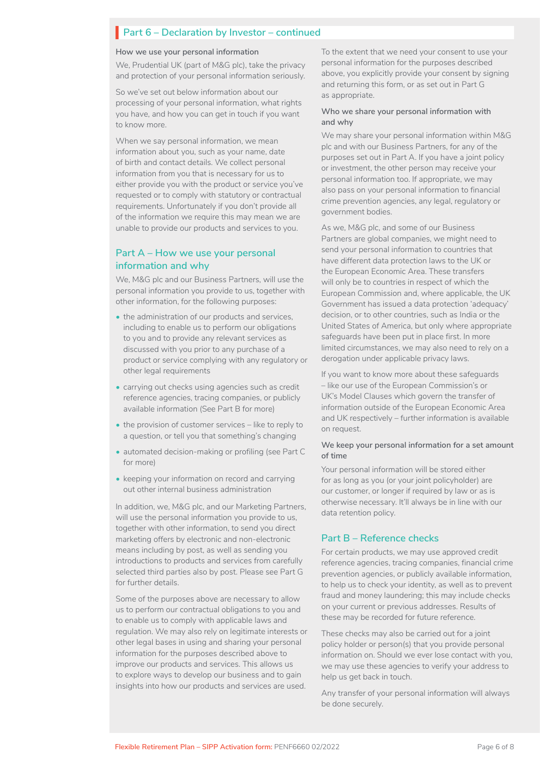# **Part 6 – Declaration by Investor – continued**

#### **How we use your personal information**

We, Prudential UK (part of M&G plc), take the privacy and protection of your personal information seriously.

So we've set out below information about our processing of your personal information, what rights you have, and how you can get in touch if you want to know more.

When we say personal information, we mean information about you, such as your name, date of birth and contact details. We collect personal information from you that is necessary for us to either provide you with the product or service you've requested or to comply with statutory or contractual requirements. Unfortunately if you don't provide all of the information we require this may mean we are unable to provide our products and services to you.

### **Part A – How we use your personal information and why**

We, M&G plc and our Business Partners, will use the personal information you provide to us, together with other information, for the following purposes:

- the administration of our products and services. including to enable us to perform our obligations to you and to provide any relevant services as discussed with you prior to any purchase of a product or service complying with any regulatory or other legal requirements
- carrying out checks using agencies such as credit reference agencies, tracing companies, or publicly available information (See Part B for more)
- the provision of customer services like to reply to a question, or tell you that something's changing
- automated decision-making or profiling (see Part C for more)
- keeping your information on record and carrying out other internal business administration

In addition, we, M&G plc, and our Marketing Partners, will use the personal information you provide to us, together with other information, to send you direct marketing offers by electronic and non-electronic means including by post, as well as sending you introductions to products and services from carefully selected third parties also by post. Please see Part G for further details.

Some of the purposes above are necessary to allow us to perform our contractual obligations to you and to enable us to comply with applicable laws and regulation. We may also rely on legitimate interests or other legal bases in using and sharing your personal information for the purposes described above to improve our products and services. This allows us to explore ways to develop our business and to gain insights into how our products and services are used.

To the extent that we need your consent to use your personal information for the purposes described above, you explicitly provide your consent by signing and returning this form, or as set out in Part G as appropriate.

#### **Who we share your personal information with and why**

We may share your personal information within M&G plc and with our Business Partners, for any of the purposes set out in Part A. If you have a joint policy or investment, the other person may receive your personal information too. If appropriate, we may also pass on your personal information to financial crime prevention agencies, any legal, regulatory or government bodies.

As we, M&G plc, and some of our Business Partners are global companies, we might need to send your personal information to countries that have different data protection laws to the UK or the European Economic Area. These transfers will only be to countries in respect of which the European Commission and, where applicable, the UK Government has issued a data protection 'adequacy' decision, or to other countries, such as India or the United States of America, but only where appropriate safeguards have been put in place first. In more limited circumstances, we may also need to rely on a derogation under applicable privacy laws.

If you want to know more about these safeguards – like our use of the European Commission's or UK's Model Clauses which govern the transfer of information outside of the European Economic Area and UK respectively – further information is available on request.

#### **We keep your personal information for a set amount of time**

Your personal information will be stored either for as long as you (or your joint policyholder) are our customer, or longer if required by law or as is otherwise necessary. It'll always be in line with our data retention policy.

### **Part B – Reference checks**

For certain products, we may use approved credit reference agencies, tracing companies, financial crime prevention agencies, or publicly available information, to help us to check your identity, as well as to prevent fraud and money laundering; this may include checks on your current or previous addresses. Results of these may be recorded for future reference.

These checks may also be carried out for a joint policy holder or person(s) that you provide personal information on. Should we ever lose contact with you, we may use these agencies to verify your address to help us get back in touch.

Any transfer of your personal information will always be done securely.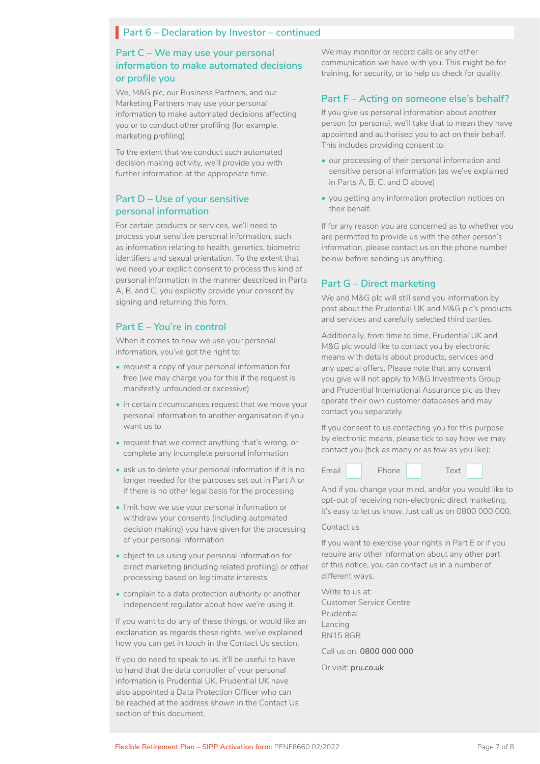# **Part 6 – Declaration by Investor – continued**

### **Part C – We may use your personal information to make automated decisions or profile you**

We, M&G plc, our Business Partners, and our Marketing Partners may use your personal information to make automated decisions affecting you or to conduct other profiling (for example, marketing profiling).

To the extent that we conduct such automated decision making activity, we'll provide you with further information at the appropriate time.

### **Part D – Use of your sensitive personal information**

For certain products or services, we'll need to process your sensitive personal information, such as information relating to health, genetics, biometric identifiers and sexual orientation. To the extent that we need your explicit consent to process this kind of personal information in the manner described in Parts A, B, and C, you explicitly provide your consent by signing and returning this form.

### **Part E – You're in control**

When it comes to how we use your personal information, you've got the right to:

- request a copy of your personal information for free (we may charge you for this if the request is manifestly unfounded or excessive)
- in certain circumstances request that we move your personal information to another organisation if you want us to
- request that we correct anything that's wrong, or complete any incomplete personal information
- ask us to delete your personal information if it is no longer needed for the purposes set out in Part A or if there is no other legal basis for the processing
- limit how we use your personal information or withdraw your consents (including automated decision making) you have given for the processing of your personal information
- object to us using your personal information for direct marketing (including related profiling) or other processing based on legitimate interests
- complain to a data protection authority or another independent regulator about how we're using it.

If you want to do any of these things, or would like an explanation as regards these rights, we've explained how you can get in touch in the Contact Us section.

If you do need to speak to us, it'll be useful to have to hand that the data controller of your personal information is Prudential UK. Prudential UK have also appointed a Data Protection Officer who can be reached at the address shown in the Contact Us section of this document.

We may monitor or record calls or any other communication we have with you. This might be for training, for security, or to help us check for quality.

### **Part F – Acting on someone else's behalf?**

If you give us personal information about another person (or persons), we'll take that to mean they have appointed and authorised you to act on their behalf. This includes providing consent to:

- our processing of their personal information and sensitive personal information (as we've explained in Parts A, B, C, and D above)
- you getting any information protection notices on their behalf.

If for any reason you are concerned as to whether you are permitted to provide us with the other person's information, please contact us on the phone number below before sending us anything.

### **Part G – Direct marketing**

We and M&G plc will still send you information by post about the Prudential UK and M&G plc's products and services and carefully selected third parties.

Additionally, from time to time, Prudential UK and M&G plc would like to contact you by electronic means with details about products, services and any special offers. Please note that any consent you give will not apply to M&G Investments Group and Prudential International Assurance plc as they operate their own customer databases and may contact you separately.

If you consent to us contacting you for this purpose by electronic means, please tick to say how we may contact you (tick as many or as few as you like):



And if you change your mind, and/or you would like to opt-out of receiving non-electronic direct marketing, it's easy to let us know. Just call us on 0800 000 000.

#### Contact us

If you want to exercise your rights in Part E or if you require any other information about any other part of this notice, you can contact us in a number of different ways.

Write to us at: Customer Service Centre Prudential Lancing BN15 8GB

Call us on: **0800 000 000**

Or visit: **pru.co.uk**